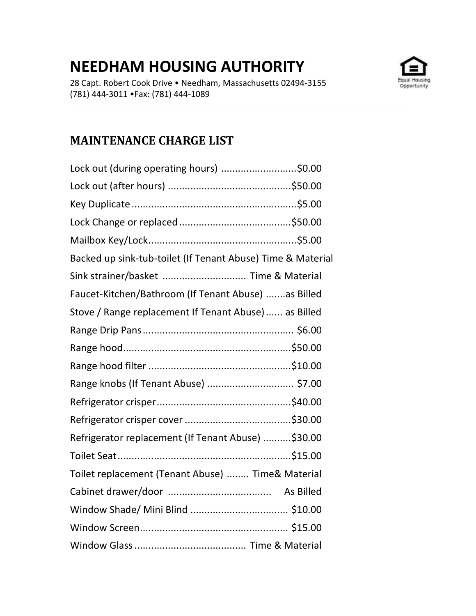## **NEEDHAM HOUSING AUTHORITY**

28 Capt. Robert Cook Drive • Needham, Massachusetts 02494-3155 (781) 444-3011 •Fax: (781) 444-1089



## **MAINTENANCE CHARGE LIST**

| Lock out (during operating hours) \$0.00                    |  |
|-------------------------------------------------------------|--|
|                                                             |  |
|                                                             |  |
|                                                             |  |
|                                                             |  |
| Backed up sink-tub-toilet (If Tenant Abuse) Time & Material |  |
| Sink strainer/basket  Time & Material                       |  |
| Faucet-Kitchen/Bathroom (If Tenant Abuse) as Billed         |  |
| Stove / Range replacement If Tenant Abuse) as Billed        |  |
|                                                             |  |
|                                                             |  |
|                                                             |  |
| Range knobs (If Tenant Abuse)  \$7.00                       |  |
|                                                             |  |
|                                                             |  |
| Refrigerator replacement (If Tenant Abuse)  \$30.00         |  |
|                                                             |  |
| Toilet replacement (Tenant Abuse)  Time& Material           |  |
|                                                             |  |
|                                                             |  |
|                                                             |  |
|                                                             |  |